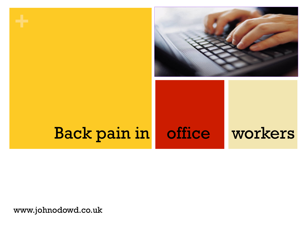

# Back pain in office workers

www.johnodowd.co.uk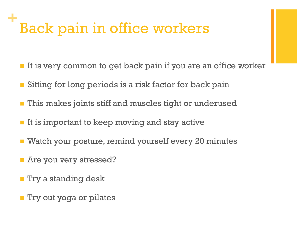### **+** Back pain in office workers

- It is very common to get back pain if you are an office worker
- Sitting for long periods is a risk factor for back pain
- This makes joints stiff and muscles tight or underused
- $\blacksquare$  It is important to keep moving and stay active
- Watch your posture, remind yourself every 20 minutes
- **n** Are you very stressed?
- **n** Try a standing desk
- **n** Try out yoga or pilates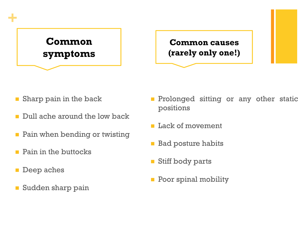## **Common symptoms**

#### **Common causes (rarely only one!)**

- $\blacksquare$  Sharp pain in the back
- Dull ache around the low back
- $\blacksquare$  Pain when bending or twisting
- $\blacksquare$  Pain in the buttocks
- **n** Deep aches

**+**

**n** Sudden sharp pain

- **n** Prolonged sitting or any other static positions
- **n** Lack of movement
- Bad posture habits
- **n** Stiff body parts
- **n** Poor spinal mobility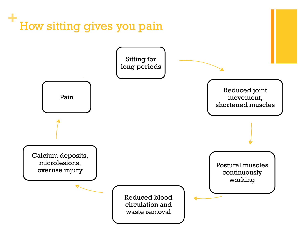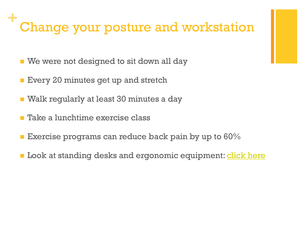#### **+** Change your posture and workstation

- We were not designed to sit down all day
- **Every 20 minutes get up and stretch**
- Walk regularly at least 30 minutes a day
- n Take a lunchtime exercise class
- **Exercise programs can reduce back pain by up to 60%**
- **n** Look at standing desks and ergonomic equipment: click here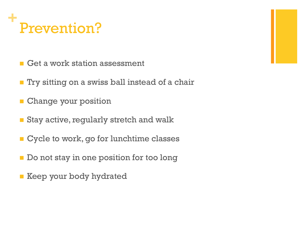#### **+** Prevention?

- $\blacksquare$  Get a work station assessment
- **n** Try sitting on a swiss ball instead of a chair
- **n** Change your position
- Stay active, regularly stretch and walk
- **n** Cycle to work, go for lunchtime classes
- $\blacksquare$  Do not stay in one position for too long
- **E** Keep your body hydrated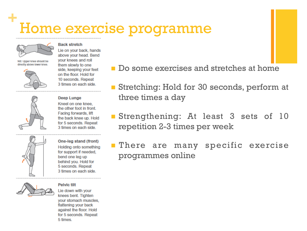### **+** Home exercise programme



#### NB: Upper knee should be directly above lower knee.



vour knees and roll them slowly to one side, keeping your feet on the floor. Hold for 10 seconds, Repeat 3 times on each side.

Lie on your back, hands above your head. Bend

**Back stretch** 



**Deep Lunge** Kneel on one knee. the other foot in front. Facing forwards, lift the back knee up. Hold for 5 seconds. Repeat 3 times on each side.



One-leg stand (front) Holding onto something for support if needed. bend one leg up behind you. Hold for 5 seconds. Repeat 3 times on each side.

#### **Pelvic filt**

Lie down with your knees bent. Tighten your stomach muscles, flattening your back against the floor. Hold for 5 seconds. Repeat 5 times.

- n Do some exercises and stretches at home
- Stretching: Hold for 30 seconds, perform at three times a day
- Strengthening: At least 3 sets of 10 repetition 2-3 times per week

**n** There are many specific exercise programmes online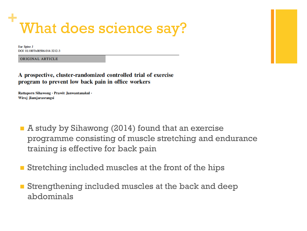#### **+** What does science say?

Eur Spine J DOI 10.1007/s00586-014-3212-3

**ORIGINAL ARTICLE** 

A prospective, cluster-randomized controlled trial of exercise program to prevent low back pain in office workers

Rattaporn Sihawong · Prawit Janwantanakul · Wiroj Jiamjarasrangsi

- A study by Sihawong (2014) found that an exercise programme consisting of muscle stretching and endurance training is effective for back pain
- Stretching included muscles at the front of the hips
- Strengthening included muscles at the back and deep abdominals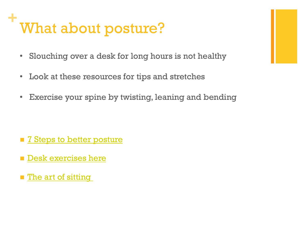### **+** What about posture?

- Slouching over a desk for long hours is not healthy
- Look at these resources for tips and stretches
- Exercise your spine by twisting, leaning and bending

- **n** 7 Steps to better posture
- **n** Desk exercises here
- **n** The art of sitting